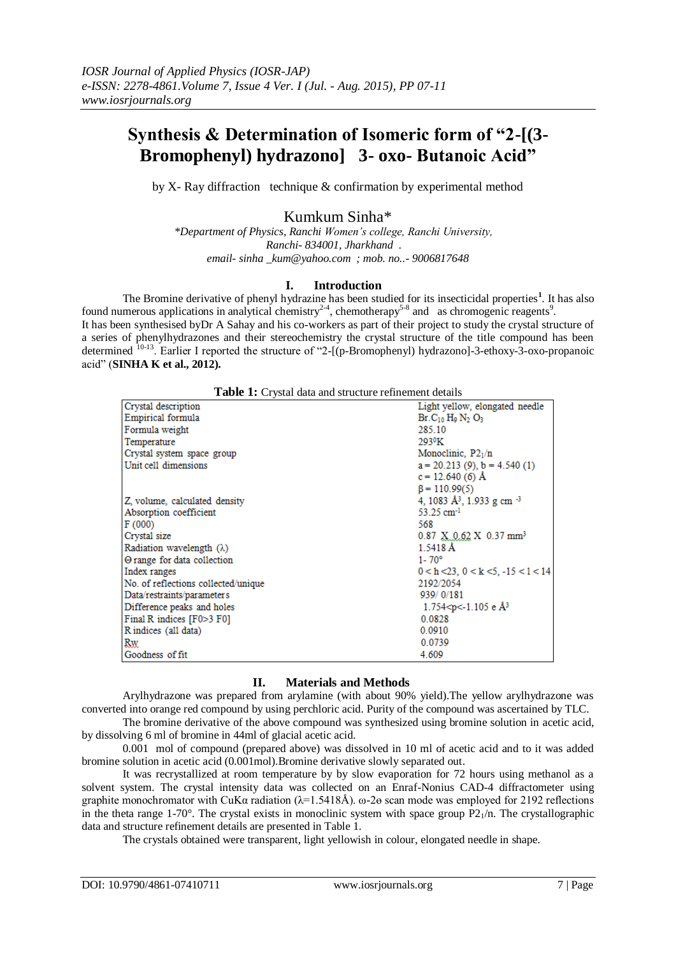# **Synthesis & Determination of Isomeric form of "2-[(3- Bromophenyl) hydrazono] 3- oxo- Butanoic Acid"**

by X- Ray diffraction technique & confirmation by experimental method

# Kumkum Sinha\*

*\*Department of Physics, Ranchi Women's college, Ranchi University, Ranchi- 834001, Jharkhand . email- sinha \_kum@yahoo.com ; mob. no..- 9006817648*

### **I. Introduction**

The Bromine derivative of phenyl hydrazine has been studied for its insecticidal properties<sup>1</sup>. It has also found numerous applications in analytical chemistry<sup>2-4</sup>, chemotherapy<sup>5-8</sup> and as chromogenic reagents<sup>9</sup>. It has been synthesised byDr A Sahay and his co-workers as part of their project to study the crystal structure of a series of phenylhydrazones and their stereochemistry the crystal structure of the title compound has been determined <sup>10-13</sup>. Earlier I reported the structure of "2-[(p-Bromophenyl) hydrazono]-3-ethoxy-3-oxo-propanoic acid‖ (**SINHA K et al., 2012).**

| Table 1: Crystal data and structure refinement details |  |  |
|--------------------------------------------------------|--|--|
|--------------------------------------------------------|--|--|

| Crystal description                 | Light yellow, elongated needle                           |
|-------------------------------------|----------------------------------------------------------|
| <b>Empirical formula</b>            | $Br.C10 H0 N2 O3$                                        |
| Formula weight                      | 285.10                                                   |
| Temperature                         | 293ºK                                                    |
| Crystal system space group          | Monoclinic, $P2_1/n$                                     |
| Unit cell dimensions                | $a = 20.213(9)$ , $b = 4.540(1)$                         |
|                                     | $c = 12.640(6)$ Å                                        |
|                                     | $\beta = 110.99(5)$                                      |
| Z, volume, calculated density       | 4, 1083 Å <sup>3</sup> , 1.933 g cm <sup>-3</sup>        |
| Absorption coefficient              | 53.25 cm <sup>-1</sup>                                   |
| F(000)                              | 568                                                      |
| Crystal size                        | $0.87 \times 0.62 \times 0.37$ mm <sup>3</sup>           |
| Radiation wavelength $(\lambda)$    | 1.5418 Å                                                 |
| ⊖ range for data collection         | $1 - 70^{\circ}$                                         |
| Index ranges                        | $0 < h < 23$ , $0 < k < 5$ , $-15 < l < 14$              |
| No. of reflections collected/unique | 2192/2054                                                |
| Data/restraints/parameters          | 939/0/181                                                |
| Difference peaks and holes          | 1.754 <p<-1.105 <math="" e="">\AA<sup>3</sup></p<-1.105> |
| Final R indices [F0>3 F0]           | 0.0828                                                   |
| Rindices (all data)                 | 0.0910                                                   |
| <b>Rw</b>                           | 0.0739                                                   |
| Goodness of fit                     | 4.609                                                    |

## **II. Materials and Methods**

Arylhydrazone was prepared from arylamine (with about 90% yield).The yellow arylhydrazone was converted into orange red compound by using perchloric acid. Purity of the compound was ascertained by TLC.

The bromine derivative of the above compound was synthesized using bromine solution in acetic acid, by dissolving 6 ml of bromine in 44ml of glacial acetic acid.

0.001 mol of compound (prepared above) was dissolved in 10 ml of acetic acid and to it was added bromine solution in acetic acid (0.001mol).Bromine derivative slowly separated out.

It was recrystallized at room temperature by by slow evaporation for 72 hours using methanol as a solvent system. The crystal intensity data was collected on an Enraf-Nonius CAD-4 diffractometer using graphite monochromator with CuKα radiation ( $λ=1.5418Å$ ). ω-2θ scan mode was employed for 2192 reflections in the theta range 1-70°. The crystal exists in monoclinic system with space group  $P2<sub>1</sub>/n$ . The crystallographic data and structure refinement details are presented in Table 1.

The crystals obtained were transparent, light yellowish in colour, elongated needle in shape.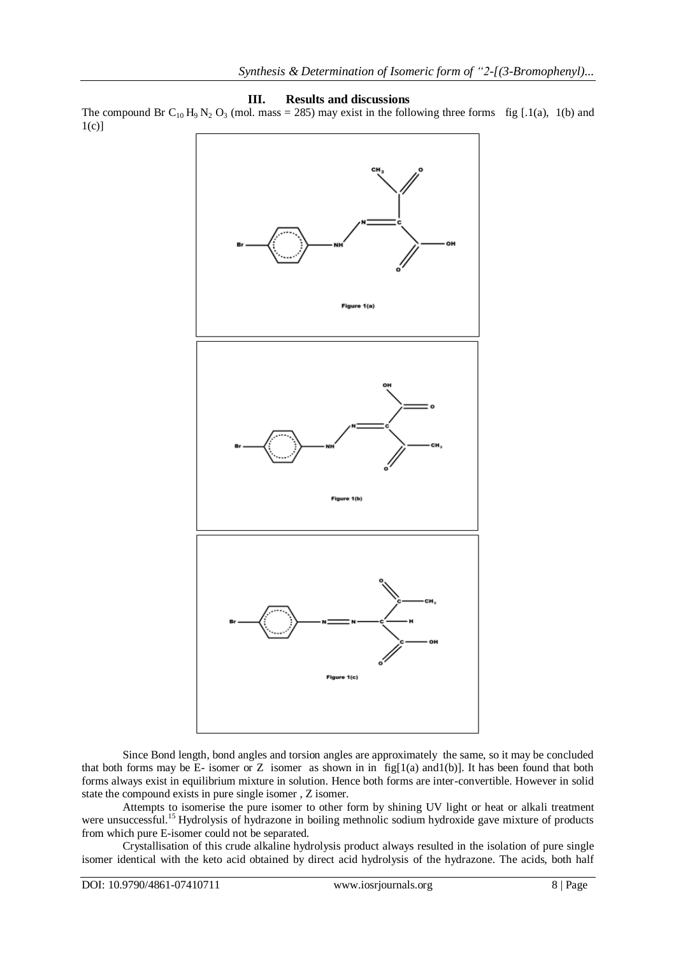#### **III. Results and discussions**

The compound Br C<sub>10</sub> H<sub>9</sub> N<sub>2</sub> O<sub>3</sub> (mol. mass = 285) may exist in the following three forms fig [.1(a), 1(b) and  $1(c)$ ]



Since Bond length, bond angles and torsion angles are approximately the same, so it may be concluded that both forms may be E- isomer or Z isomer as shown in in  $fig[1(a)$  and  $h(b)]$ . It has been found that both forms always exist in equilibrium mixture in solution. Hence both forms are inter-convertible. However in solid state the compound exists in pure single isomer , Z isomer.

Attempts to isomerise the pure isomer to other form by shining UV light or heat or alkali treatment were unsuccessful.<sup>15</sup> Hydrolysis of hydrazone in boiling methnolic sodium hydroxide gave mixture of products from which pure E-isomer could not be separated.

Crystallisation of this crude alkaline hydrolysis product always resulted in the isolation of pure single isomer identical with the keto acid obtained by direct acid hydrolysis of the hydrazone. The acids, both half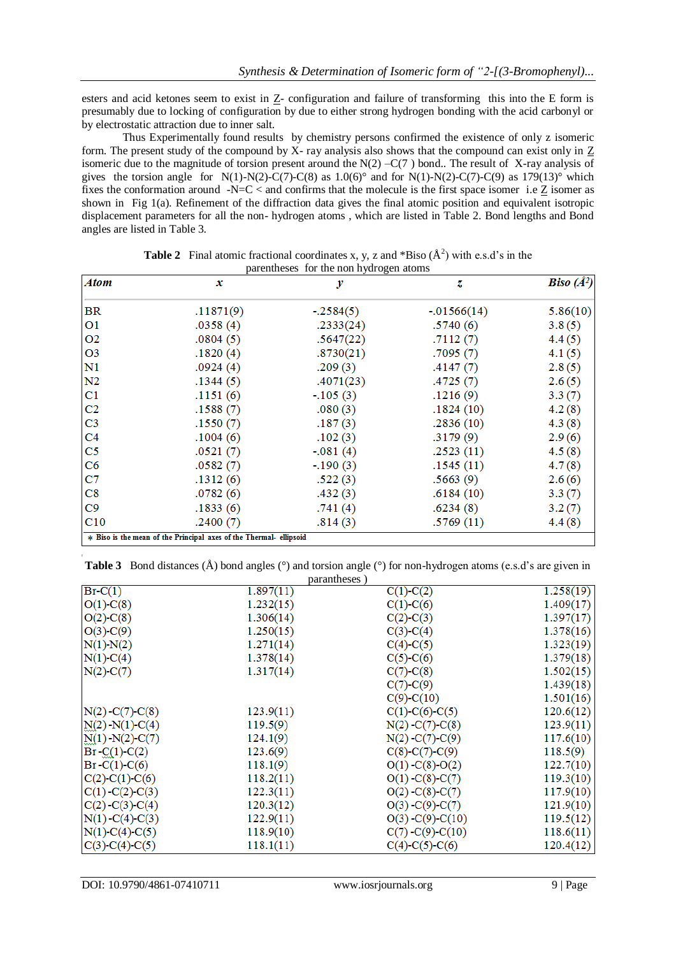esters and acid ketones seem to exist in Z- configuration and failure of transforming this into the E form is presumably due to locking of configuration by due to either strong hydrogen bonding with the acid carbonyl or by electrostatic attraction due to inner salt.

Thus Experimentally found results by chemistry persons confirmed the existence of only z isomeric form. The present study of the compound by X- ray analysis also shows that the compound can exist only in Z isomeric due to the magnitude of torsion present around the  $N(2) - C(7)$  bond.. The result of X-ray analysis of gives the torsion angle for N(1)-N(2)-C(7)-C(8) as  $1.0(6)^\circ$  and for N(1)-N(2)-C(7)-C(9) as  $179(13)^\circ$  which fixes the conformation around  $- N=C <$  and confirms that the molecule is the first space isomer i.e Z isomer as shown in Fig 1(a). Refinement of the diffraction data gives the final atomic position and equivalent isotropic displacement parameters for all the non- hydrogen atoms , which are listed in Table 2. Bond lengths and Bond angles are listed in Table 3.

| Atom           | x                                                                  | у           | z             | <b>Biso</b> $(A^2)$ |
|----------------|--------------------------------------------------------------------|-------------|---------------|---------------------|
| <b>BR</b>      | .11871(9)                                                          | $-.2584(5)$ | $-.01566(14)$ | 5.86(10)            |
| O <sub>1</sub> | .0358(4)                                                           | .2333(24)   | .5740(6)      | 3.8(5)              |
| O <sub>2</sub> | .0804(5)                                                           | .5647(22)   | .7112(7)      | 4.4(5)              |
| O <sub>3</sub> | .1820(4)                                                           | .8730(21)   | .7095(7)      | 4.1(5)              |
| N1             | .0924(4)                                                           | .209(3)     | .4147(7)      | 2.8(5)              |
| N <sub>2</sub> | .1344(5)                                                           | .4071(23)   | .4725(7)      | 2.6(5)              |
| $_{\rm C1}$    | .1151(6)                                                           | $-105(3)$   | .1216(9)      | 3.3(7)              |
| C <sub>2</sub> | .1588(7)                                                           | .080(3)     | .1824(10)     | 4.2(8)              |
| C <sub>3</sub> | .1550(7)                                                           | .187(3)     | .2836(10)     | 4.3(8)              |
| C <sub>4</sub> | .1004(6)                                                           | .102(3)     | .3179(9)      | 2.9(6)              |
| C <sub>5</sub> | .0521(7)                                                           | $-.081(4)$  | .2523(11)     | 4.5(8)              |
| C6             | .0582(7)                                                           | $-.190(3)$  | .1545(11)     | 4.7(8)              |
| C7             | .1312(6)                                                           | .522(3)     | .5663(9)      | 2.6(6)              |
| $_{\rm C8}$    | .0782(6)                                                           | .432(3)     | .6184(10)     | 3.3(7)              |
| C9             | .1833(6)                                                           | .741(4)     | .6234(8)      | 3.2(7)              |
| C10            | .2400(7)                                                           | .814(3)     | .5769(11)     | 4.4(8)              |
|                | * Biso is the mean of the Principal axes of the Thermal- ellipsoid |             |               |                     |

**Table 2** Final atomic fractional coordinates x, y, z and  $*$ Biso ( $A^2$ ) with e.s.d's in the parentheses for the non hydrogen atoms

|  | <b>Table 3</b> Bond distances $(A)$ bond angles $(°)$ and torsion angle $(°)$ for non-hydrogen atoms (e.s.d's are given in |  |  |  |  |  |  |
|--|----------------------------------------------------------------------------------------------------------------------------|--|--|--|--|--|--|
|--|----------------------------------------------------------------------------------------------------------------------------|--|--|--|--|--|--|

|                      | parantheses) |                          |           |
|----------------------|--------------|--------------------------|-----------|
| $Br-C(1)$            | 1.897(11)    | $C(1)$ - $C(2)$          | 1.258(19) |
| $O(1)$ -C(8)         | 1.232(15)    | $C(1) - C(6)$            | 1.409(17) |
| $O(2)$ -C(8)         | 1.306(14)    | $C(2) - C(3)$            | 1.397(17) |
| $O(3)$ - $C(9)$      | 1.250(15)    | $C(3)-C(4)$              | 1.378(16) |
| N(1) N(2)            | 1.271(14)    | $C(4) - C(5)$            | 1.323(19) |
| $N(1)$ -C(4)         | 1.378(14)    | $C(5) - C(6)$            | 1.379(18) |
| $N(2)$ -C(7)         | 1.317(14)    | $C(7)$ - $C(8)$          | 1.502(15) |
|                      |              | $C(7)$ - $C(9)$          | 1.439(18) |
|                      |              | $C(9) - C(10)$           | 1.501(16) |
| $N(2) - C(7) - C(8)$ | 123.9(11)    | $C(1)$ -C(6)-C(5)        | 120.6(12) |
| $N(2) - N(1) - C(4)$ | 119.5(9)     | $N(2) - C(7) - C(8)$     | 123.9(11) |
| $N(1) - N(2) - C(7)$ | 124.1(9)     | $N(2) - C(7) - C(9)$     | 117.6(10) |
| $Br - C(1) - C(2)$   | 123.6(9)     | $C(8) - C(7) - C(9)$     | 118.5(9)  |
| $Br-C(1) - C(6)$     | 118.1(9)     | $O(1) - C(8) - O(2)$     | 122.7(10) |
| $C(2)$ -C(1)-C(6)    | 118.2(11)    | $O(1) - C(8) - C(7)$     | 119.3(10) |
| $C(1) - C(2) - C(3)$ | 122.3(11)    | $O(2) - C(8) - C(7)$     | 117.9(10) |
| $C(2) - C(3) - C(4)$ | 120.3(12)    | $O(3)$ -C(9)-C(7)        | 121.9(10) |
| $N(1) - C(4) - C(3)$ | 122.9(11)    | $O(3) - C(9) - C(10)$    | 119.5(12) |
| $N(1)$ -C(4)-C(5)    | 118.9(10)    | $C(7) - C(9) - C(10)$    | 118.6(11) |
| $C(3)-C(4)-C(5)$     | 118.1(11)    | $C(4)$ - $C(5)$ - $C(6)$ | 120.4(12) |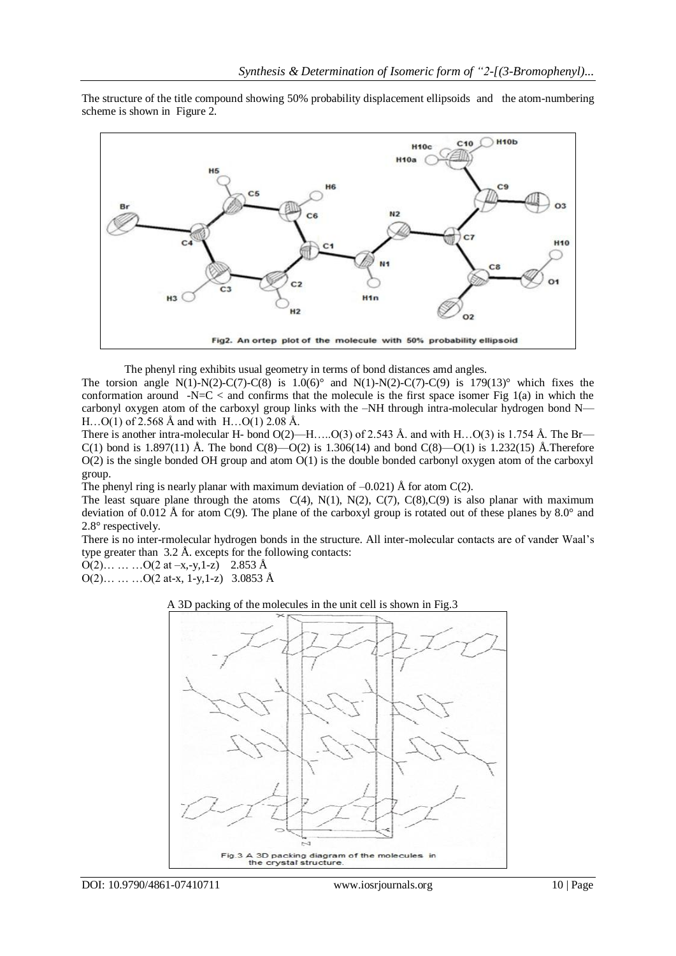The structure of the title compound showing 50% probability displacement ellipsoids and the atom-numbering scheme is shown in Figure 2.



The phenyl ring exhibits usual geometry in terms of bond distances amd angles.

The torsion angle N(1)-N(2)-C(7)-C(8) is  $1.0(6)^\circ$  and N(1)-N(2)-C(7)-C(9) is 179(13)° which fixes the conformation around  $-N=C <$  and confirms that the molecule is the first space isomer Fig 1(a) in which the carbonyl oxygen atom of the carboxyl group links with the –NH through intra-molecular hydrogen bond N— H…O(1) of 2.568 Å and with H…O(1) 2.08 Å.

There is another intra-molecular H- bond  $O(2)$ —H….. $O(3)$  of 2.543 Å. and with H… $O(3)$  is 1.754 Å. The Br— C(1) bond is 1.897(11) Å. The bond C(8)—O(2) is 1.306(14) and bond C(8)—O(1) is 1.232(15) Å. Therefore  $O(2)$  is the single bonded OH group and atom  $O(1)$  is the double bonded carbonyl oxygen atom of the carboxyl group.

The phenyl ring is nearly planar with maximum deviation of  $-0.021$ ) Å for atom C(2).

The least square plane through the atoms  $C(4)$ ,  $N(1)$ ,  $N(2)$ ,  $C(7)$ ,  $C(8)$ ,  $C(9)$  is also planar with maximum deviation of 0.012 Å for atom C(9). The plane of the carboxyl group is rotated out of these planes by 8.0° and 2.8° respectively.

There is no inter-rmolecular hydrogen bonds in the structure. All inter-molecular contacts are of vander Waal's type greater than 3.2 Å. excepts for the following contacts:

 $O(2)$ … … … $O(2 \text{ at } -x, -y, 1-z)$  2.853 Å

 $O(2)$ … … … $O(2 \text{ at-x, 1-y,1-z})$  3.0853 Å

#### A 3D packing of the molecules in the unit cell is shown in Fig.3